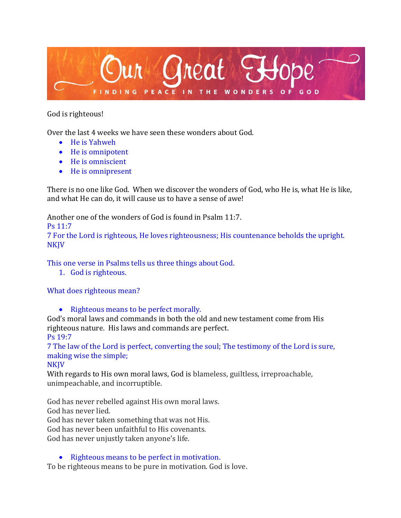

### God is righteous!

Over the last 4 weeks we have seen these wonders about God.

- He is Yahweh
- He is omnipotent
- He is omniscient
- He is omnipresent

There is no one like God. When we discover the wonders of God, who He is, what He is like, and what He can do, it will cause us to have a sense of awe!

Another one of the wonders of God is found in Psalm 11:7.

Ps 11:7

7 For the Lord is righteous, He loves righteousness; His countenance beholds the upright. **NKJV** 

This one verse in Psalms tells us three things about God.

1. God is righteous.

What does righteous mean?

• Righteous means to be perfect morally.

God's moral laws and commands in both the old and new testament come from His righteous nature. His laws and commands are perfect. Ps 19:7

7 The law of the Lord is perfect, converting the soul; The testimony of the Lord is sure, making wise the simple;

#### **NKJV**

With regards to His own moral laws, God is blameless, guiltless, irreproachable, unimpeachable, and incorruptible.

God has never rebelled against His own moral laws. God has never lied. God has never taken something that was not His. God has never been unfaithful to His covenants.

God has never unjustly taken anyone's life.

• Righteous means to be perfect in motivation.

To be righteous means to be pure in motivation. God is love.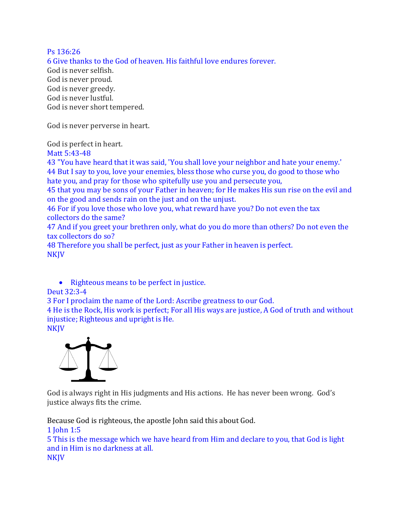### Ps 136:26

6 Give thanks to the God of heaven. His faithful love endures forever.

God is never selfish. God is never proud. God is never greedy. God is never lustful. God is never short tempered.

God is never perverse in heart.

God is perfect in heart.

Matt 5:43-48

43 "You have heard that it was said, 'You shall love your neighbor and hate your enemy.' 44 But I say to you, love your enemies, bless those who curse you, do good to those who hate you, and pray for those who spitefully use you and persecute you,

45 that you may be sons of your Father in heaven; for He makes His sun rise on the evil and on the good and sends rain on the just and on the unjust.

46 For if you love those who love you, what reward have you? Do not even the tax collectors do the same?

47 And if you greet your brethren only, what do you do more than others? Do not even the tax collectors do so?

48 Therefore you shall be perfect, just as your Father in heaven is perfect. **NKJV** 

• Righteous means to be perfect in justice.

Deut 32:3-4

3 For I proclaim the name of the Lord: Ascribe greatness to our God.

4 He is the Rock, His work is perfect; For all His ways are justice, A God of truth and without injustice; Righteous and upright is He.

**NKJV** 



God is always right in His judgments and His actions. He has never been wrong. God's justice always fits the crime.

Because God is righteous, the apostle John said this about God.

1 John 1:5

5 This is the message which we have heard from Him and declare to you, that God is light and in Him is no darkness at all.

**NKJV**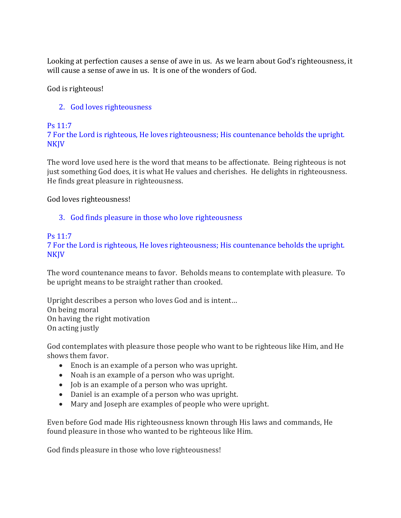Looking at perfection causes a sense of awe in us. As we learn about God's righteousness, it will cause a sense of awe in us. It is one of the wonders of God.

God is righteous!

2. God loves righteousness

# Ps 11:7

7 For the Lord is righteous, He loves righteousness; His countenance beholds the upright. NKJV

The word love used here is the word that means to be affectionate. Being righteous is not just something God does, it is what He values and cherishes. He delights in righteousness. He finds great pleasure in righteousness.

God loves righteousness!

### 3. God finds pleasure in those who love righteousness

## Ps 11:7

7 For the Lord is righteous, He loves righteousness; His countenance beholds the upright. NKJV

The word countenance means to favor. Beholds means to contemplate with pleasure. To be upright means to be straight rather than crooked.

Upright describes a person who loves God and is intent… On being moral On having the right motivation On acting justly

God contemplates with pleasure those people who want to be righteous like Him, and He shows them favor.

- Enoch is an example of a person who was upright.
- Noah is an example of a person who was upright.
- Job is an example of a person who was upright.
- Daniel is an example of a person who was upright.
- Mary and Joseph are examples of people who were upright.

Even before God made His righteousness known through His laws and commands, He found pleasure in those who wanted to be righteous like Him.

God finds pleasure in those who love righteousness!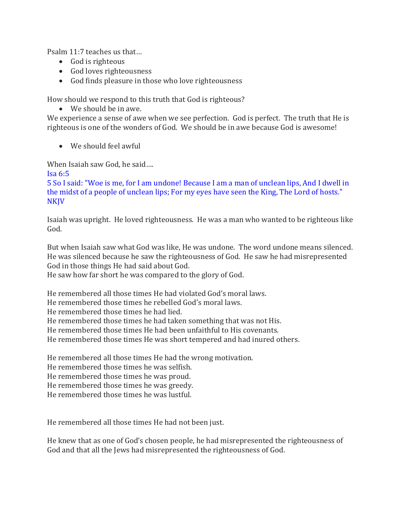Psalm 11:7 teaches us that…

- God is righteous
- God loves righteousness
- God finds pleasure in those who love righteousness

How should we respond to this truth that God is righteous?

• We should be in awe.

We experience a sense of awe when we see perfection. God is perfect. The truth that He is righteous is one of the wonders of God. We should be in awe because God is awesome!

• We should feel awful

When Isaiah saw God, he said….

Isa 6:5

5 So I said: "Woe is me, for I am undone! Because I am a man of unclean lips, And I dwell in the midst of a people of unclean lips; For my eyes have seen the King, The Lord of hosts." NKJV

Isaiah was upright. He loved righteousness. He was a man who wanted to be righteous like God.

But when Isaiah saw what God was like, He was undone. The word undone means silenced. He was silenced because he saw the righteousness of God. He saw he had misrepresented God in those things He had said about God.

He saw how far short he was compared to the glory of God.

He remembered all those times He had violated God's moral laws.

He remembered those times he rebelled God's moral laws.

He remembered those times he had lied.

He remembered those times he had taken something that was not His.

He remembered those times He had been unfaithful to His covenants.

He remembered those times He was short tempered and had inured others.

He remembered all those times He had the wrong motivation.

He remembered those times he was selfish.

He remembered those times he was proud.

He remembered those times he was greedy.

He remembered those times he was lustful.

He remembered all those times He had not been just.

He knew that as one of God's chosen people, he had misrepresented the righteousness of God and that all the Jews had misrepresented the righteousness of God.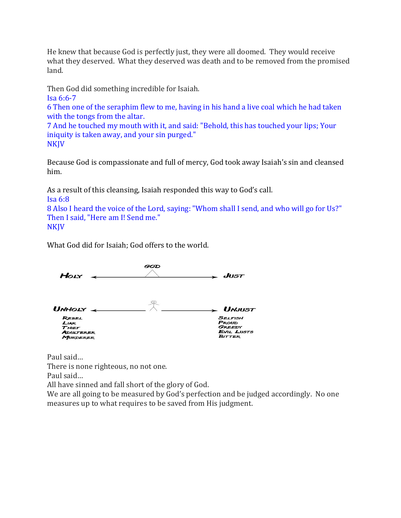He knew that because God is perfectly just, they were all doomed. They would receive what they deserved. What they deserved was death and to be removed from the promised land.

Then God did something incredible for Isaiah.

Isa 6:6-7

6 Then one of the seraphim flew to me, having in his hand a live coal which he had taken with the tongs from the altar.

7 And he touched my mouth with it, and said: "Behold, this has touched your lips; Your iniquity is taken away, and your sin purged." NKJV

Because God is compassionate and full of mercy, God took away Isaiah's sin and cleansed him.

As a result of this cleansing, Isaiah responded this way to God's call. Isa 6:8 8 Also I heard the voice of the Lord, saying: "Whom shall I send, and who will go for Us?"

Then I said, "Here am I! Send me." NKJV

What God did for Isaiah; God offers to the world.



Paul said…

There is none righteous, no not one.

Paul said…

All have sinned and fall short of the glory of God.

We are all going to be measured by God's perfection and be judged accordingly. No one measures up to what requires to be saved from His judgment.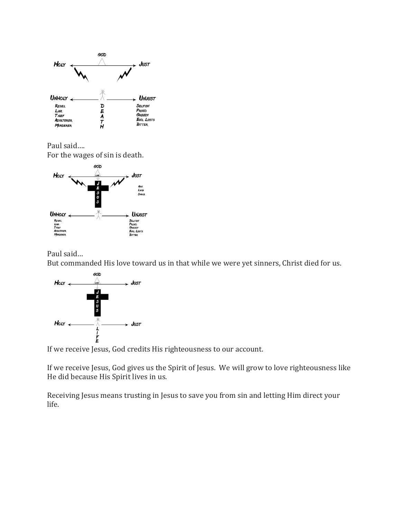

Paul said…. For the wages of sin is death.



### Paul said…

But commanded His love toward us in that while we were yet sinners, Christ died for us.



If we receive Jesus, God credits His righteousness to our account.

If we receive Jesus, God gives us the Spirit of Jesus. We will grow to love righteousness like He did because His Spirit lives in us.

Receiving Jesus means trusting in Jesus to save you from sin and letting Him direct your life.